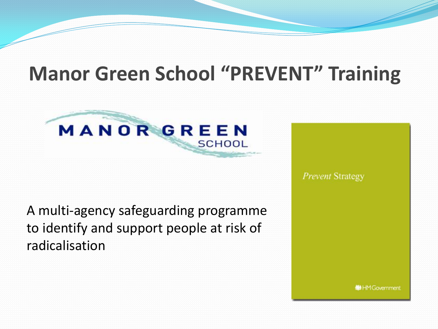#### **Manor Green School "PREVENT" Training**



A multi-agency safeguarding programme to identify and support people at risk of radicalisation

**Prevent Strategy** 

**M** HM Government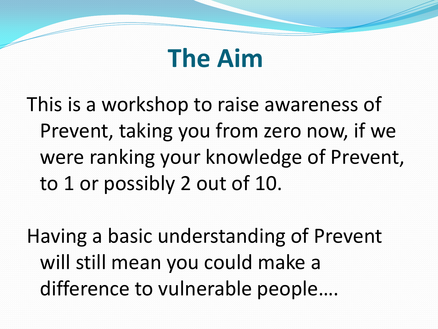#### **The Aim**

This is a workshop to raise awareness of Prevent, taking you from zero now, if we were ranking your knowledge of Prevent, to 1 or possibly 2 out of 10.

Having a basic understanding of Prevent will still mean you could make a difference to vulnerable people….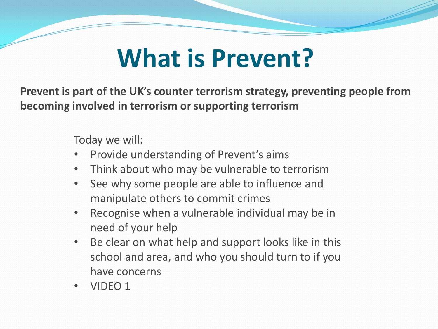### **What is Prevent?**

**Prevent is part of the UK's counter terrorism strategy, preventing people from becoming involved in terrorism or supporting terrorism**

Today we will:

- Provide understanding of Prevent's aims
- Think about who may be vulnerable to terrorism
- See why some people are able to influence and manipulate others to commit crimes
- Recognise when a vulnerable individual may be in need of your help
- Be clear on what help and support looks like in this school and area, and who you should turn to if you have concerns
- VIDEO 1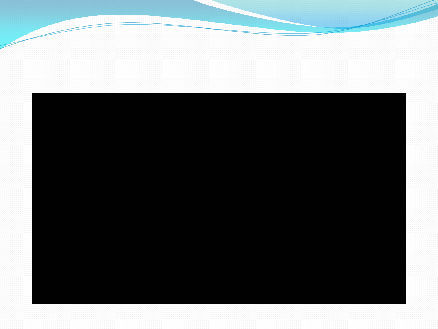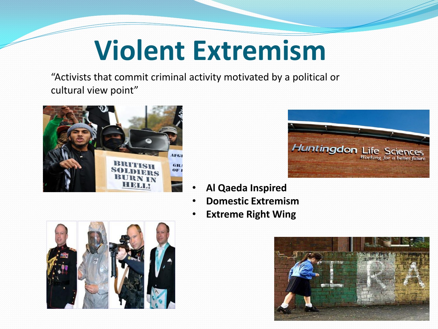## **Violent Extremism**

"Activists that commit criminal activity motivated by a political or cultural view point"





- **Al Qaeda Inspired**
- **Domestic Extremism**
- **Extreme Right Wing**



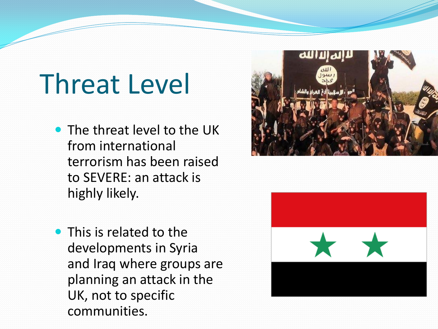# Threat Level

- The threat level to the UK from international terrorism has been raised to SEVERE: an attack is highly likely.
- This is related to the developments in Syria and Iraq where groups are planning an attack in the UK, not to specific communities.



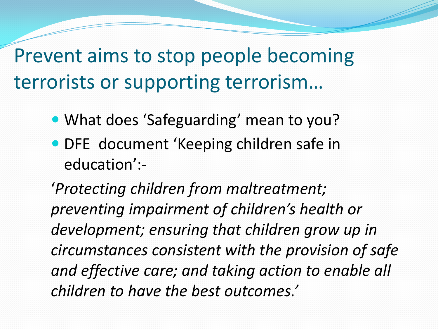Prevent aims to stop people becoming terrorists or supporting terrorism…

- What does 'Safeguarding' mean to you?
- DFE document 'Keeping children safe in education':-

'*Protecting children from maltreatment; preventing impairment of children's health or development; ensuring that children grow up in circumstances consistent with the provision of safe and effective care; and taking action to enable all children to have the best outcomes.'*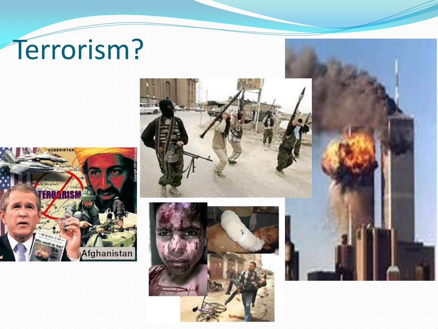# Terrorism?







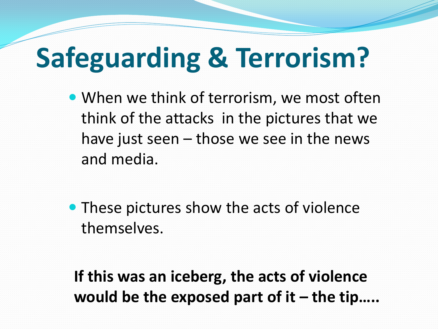# **Safeguarding & Terrorism?**

- When we think of terrorism, we most often think of the attacks in the pictures that we have just seen – those we see in the news and media.
- These pictures show the acts of violence themselves.

**If this was an iceberg, the acts of violence would be the exposed part of it – the tip.....**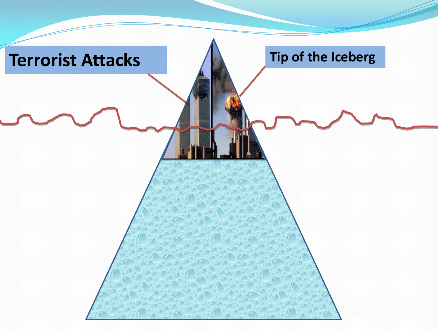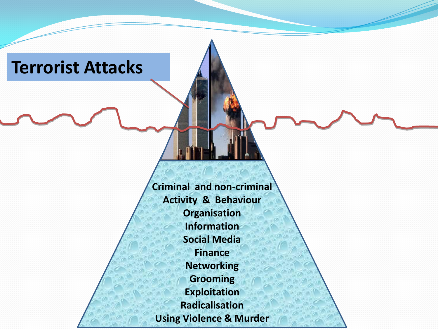#### **Terrorist Attacks**

**Criminal and non-criminal Activity & Behaviour Organisation Information Social Media Finance Networking Grooming Exploitation Radicalisation Using Violence & Murder**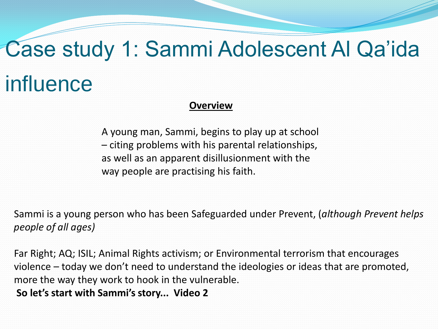#### Case study 1: Sammi Adolescent Al Qa'ida

#### influence

#### **Overview**

A young man, Sammi, begins to play up at school – citing problems with his parental relationships, as well as an apparent disillusionment with the way people are practising his faith.

Sammi is a young person who has been Safeguarded under Prevent, (*although Prevent helps people of all ages)*

Far Right; AQ; ISIL; Animal Rights activism; or Environmental terrorism that encourages violence – today we don't need to understand the ideologies or ideas that are promoted, more the way they work to hook in the vulnerable.

**So let's start with Sammi's story... Video 2**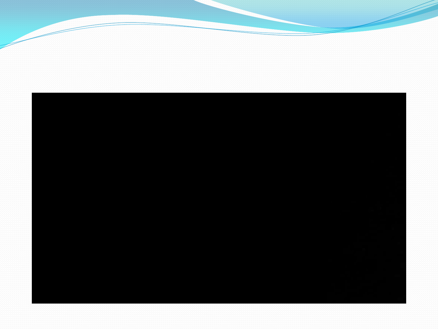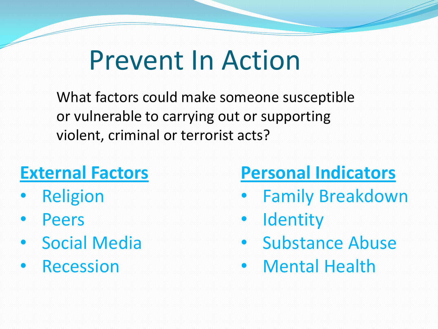#### Prevent In Action

What factors could make someone susceptible or vulnerable to carrying out or supporting violent, criminal or terrorist acts?

#### **External Factors**

- **Religion**
- Peers
- Social Media
- Recession

#### **Personal Indicators**

- Family Breakdown
- Identity
- Substance Abuse
- Mental Health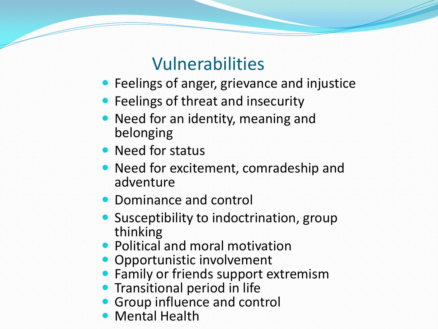#### Vulnerabilities

- Feelings of anger, grievance and injustice
- **Feelings of threat and insecurity**
- Need for an identity, meaning and belonging
- Need for status
- Need for excitement, comradeship and adventure
- Dominance and control
- Susceptibility to indoctrination, group thinking
- Political and moral motivation
- Opportunistic involvement
- Family or friends support extremism
- **Transitional period in life**
- **Group influence and control**
- Mental Health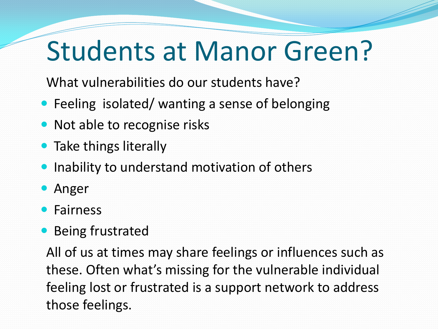### Students at Manor Green?

What vulnerabilities do our students have?

- Feeling isolated/ wanting a sense of belonging
- Not able to recognise risks
- Take things literally
- Inability to understand motivation of others
- Anger
- Fairness
- **Being frustrated**

All of us at times may share feelings or influences such as these. Often what's missing for the vulnerable individual feeling lost or frustrated is a support network to address those feelings.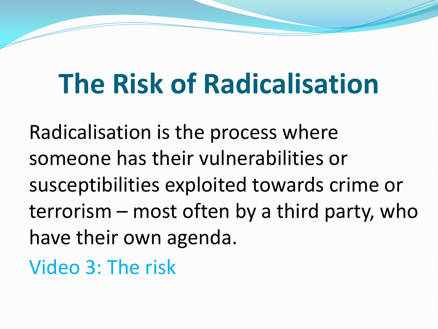# **The Risk of Radicalisation**

Radicalisation is the process where someone has their vulnerabilities or susceptibilities exploited towards crime or terrorism – most often by a third party, who have their own agenda.

Video 3: The risk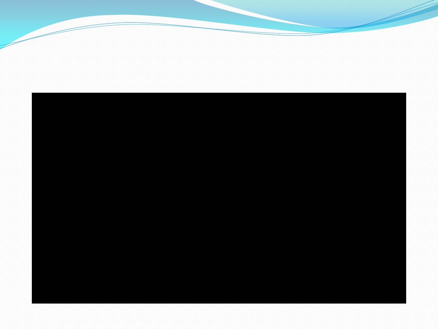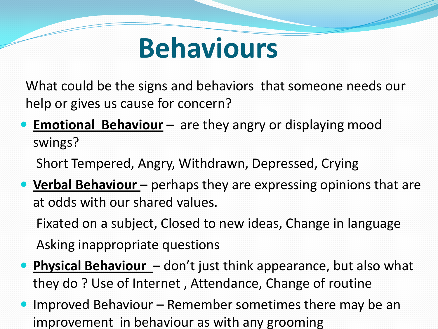### **Behaviours**

What could be the signs and behaviors that someone needs our help or gives us cause for concern?

 **Emotional Behaviour** – are they angry or displaying mood swings?

Short Tempered, Angry, Withdrawn, Depressed, Crying

**• Verbal Behaviour** – perhaps they are expressing opinions that are at odds with our shared values.

Fixated on a subject, Closed to new ideas, Change in language

Asking inappropriate questions

- **Physical Behaviour** don't just think appearance, but also what they do ? Use of Internet , Attendance, Change of routine
- Improved Behaviour Remember sometimes there may be an improvement in behaviour as with any grooming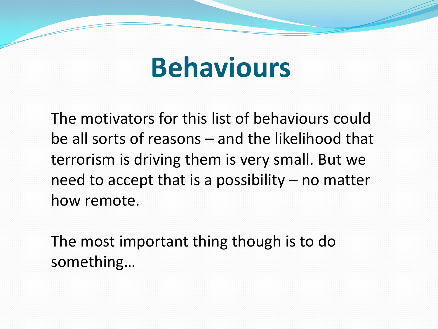### **Behaviours**

The motivators for this list of behaviours could be all sorts of reasons – and the likelihood that terrorism is driving them is very small. But we need to accept that is a possibility – no matter how remote.

The most important thing though is to do something…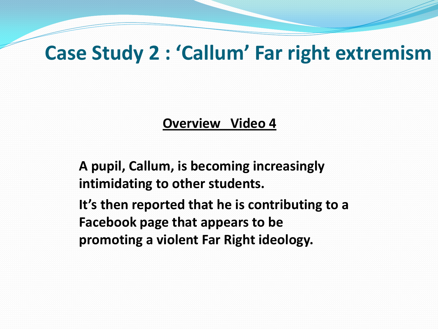#### **Case Study 2 : 'Callum' Far right extremism**

#### **Overview Video 4**

**A pupil, Callum, is becoming increasingly intimidating to other students.** 

**It's then reported that he is contributing to a Facebook page that appears to be promoting a violent Far Right ideology.**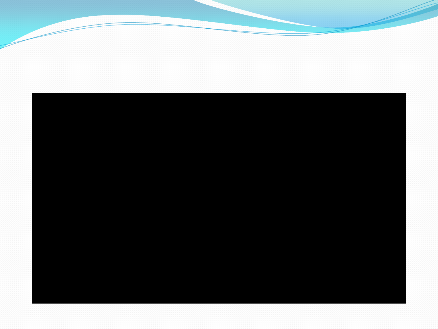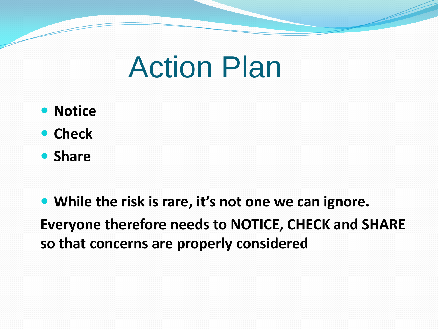## Action Plan

- **Notice**
- **Check**
- **Share**

 **While the risk is rare, it's not one we can ignore. Everyone therefore needs to NOTICE, CHECK and SHARE so that concerns are properly considered**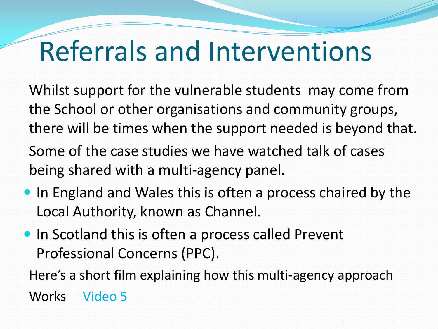### Referrals and Interventions

Whilst support for the vulnerable students may come from the School or other organisations and community groups, there will be times when the support needed is beyond that. Some of the case studies we have watched talk of cases being shared with a multi-agency panel.

- In England and Wales this is often a process chaired by the Local Authority, known as Channel.
- In Scotland this is often a process called Prevent Professional Concerns (PPC).

Here's a short film explaining how this multi-agency approach

Works Video 5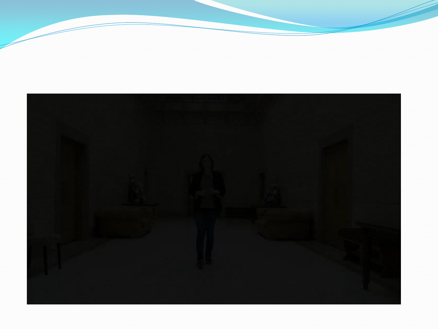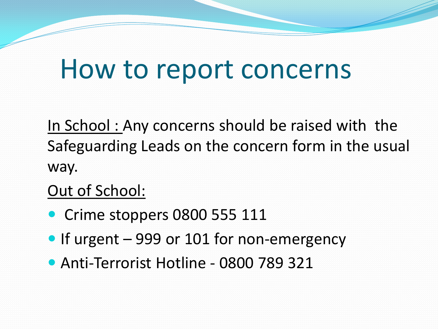#### How to report concerns

In School : Any concerns should be raised with the Safeguarding Leads on the concern form in the usual way.

#### Out of School:

- Crime stoppers 0800 555 111
- **If urgent 999 or 101 for non-emergency**
- Anti-Terrorist Hotline 0800 789 321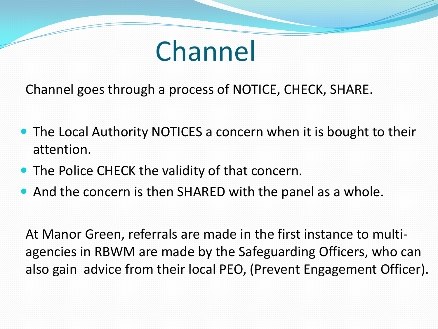### Channel

Channel goes through a process of NOTICE, CHECK, SHARE.

- The Local Authority NOTICES a concern when it is bought to their attention.
- The Police CHECK the validity of that concern.
- And the concern is then SHARED with the panel as a whole.

At Manor Green, referrals are made in the first instance to multiagencies in RBWM are made by the Safeguarding Officers, who can also gain advice from their local PEO, (Prevent Engagement Officer).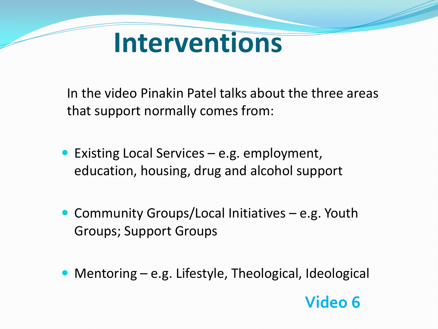

In the video Pinakin Patel talks about the three areas that support normally comes from:

- Existing Local Services e.g. employment, education, housing, drug and alcohol support
- Community Groups/Local Initiatives e.g. Youth Groups; Support Groups
- Mentoring e.g. Lifestyle, Theological, Ideological

#### **Video 6**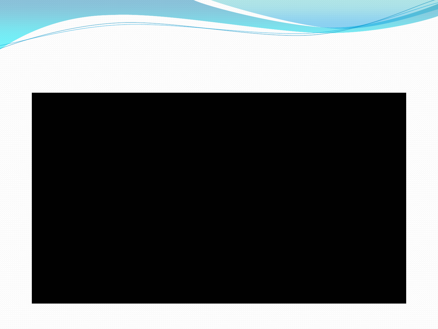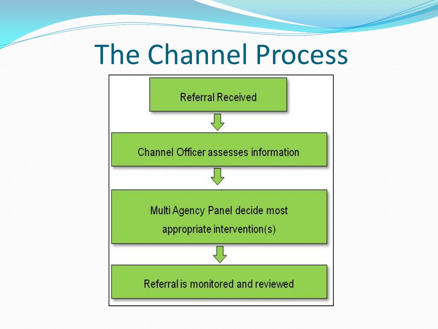### The Channel Process